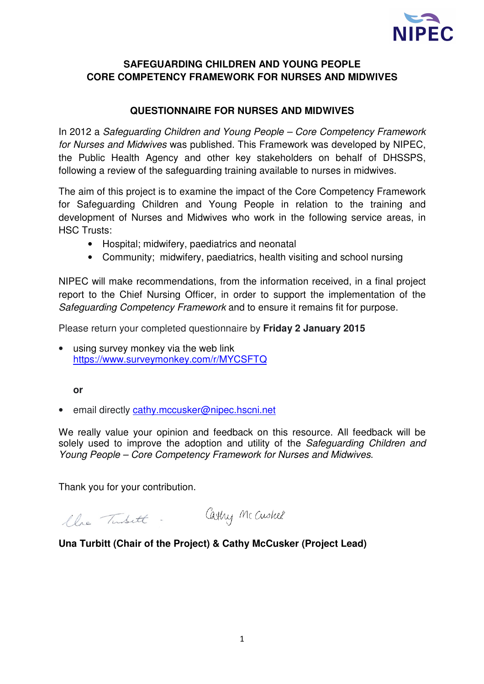

## **SAFEGUARDING CHILDREN AND YOUNG PEOPLE CORE COMPETENCY FRAMEWORK FOR NURSES AND MIDWIVES**

## **QUESTIONNAIRE FOR NURSES AND MIDWIVES**

In 2012 a Safeguarding Children and Young People – Core Competency Framework for Nurses and Midwives was published. This Framework was developed by NIPEC, the Public Health Agency and other key stakeholders on behalf of DHSSPS, following a review of the safeguarding training available to nurses in midwives.

The aim of this project is to examine the impact of the Core Competency Framework for Safeguarding Children and Young People in relation to the training and development of Nurses and Midwives who work in the following service areas, in HSC Trusts:

- Hospital; midwifery, paediatrics and neonatal
- Community; midwifery, paediatrics, health visiting and school nursing

NIPEC will make recommendations, from the information received, in a final project report to the Chief Nursing Officer, in order to support the implementation of the Safeguarding Competency Framework and to ensure it remains fit for purpose.

Please return your completed questionnaire by **Friday 2 January 2015** 

using survey monkey via the web link https://www.surveymonkey.com/r/MYCSFTQ

**or**

• email directly cathy.mccusker@nipec.hscni.net

We really value your opinion and feedback on this resource. All feedback will be solely used to improve the adoption and utility of the Safeguarding Children and Young People – Core Competency Framework for Nurses and Midwives.

Thank you for your contribution.

Carly Mc Cushel

## **Una Turbitt (Chair of the Project) & Cathy McCusker (Project Lead)**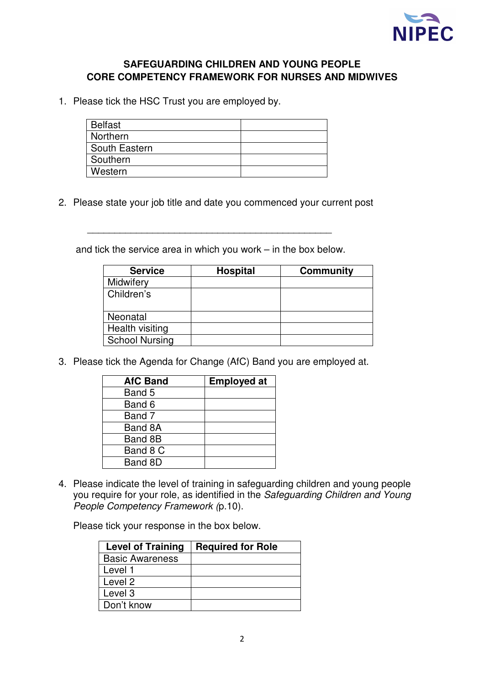

## **SAFEGUARDING CHILDREN AND YOUNG PEOPLE CORE COMPETENCY FRAMEWORK FOR NURSES AND MIDWIVES**

1. Please tick the HSC Trust you are employed by.

| <b>Belfast</b> |  |
|----------------|--|
| Northern       |  |
| South Eastern  |  |
| Southern       |  |
| Western        |  |

2. Please state your job title and date you commenced your current post

and tick the service area in which you work – in the box below.

\_\_\_\_\_\_\_\_\_\_\_\_\_\_\_\_\_\_\_\_\_\_\_\_\_\_\_\_\_\_\_\_\_\_\_\_\_\_\_\_\_\_\_\_\_

| <b>Service</b>        | <b>Hospital</b> | <b>Community</b> |
|-----------------------|-----------------|------------------|
| Midwifery             |                 |                  |
| Children's            |                 |                  |
|                       |                 |                  |
| Neonatal              |                 |                  |
| Health visiting       |                 |                  |
| <b>School Nursing</b> |                 |                  |

3. Please tick the Agenda for Change (AfC) Band you are employed at.

| <b>AfC Band</b> | <b>Employed at</b> |
|-----------------|--------------------|
| Band 5          |                    |
| Band 6          |                    |
| Band 7          |                    |
| Band 8A         |                    |
| Band 8B         |                    |
| Band 8 C        |                    |
| Band 8D         |                    |

4. Please indicate the level of training in safeguarding children and young people you require for your role, as identified in the Safeguarding Children and Young People Competency Framework (p.10).

Please tick your response in the box below.

| <b>Level of Training</b> | <b>Required for Role</b> |
|--------------------------|--------------------------|
| <b>Basic Awareness</b>   |                          |
| Level 1                  |                          |
| Level 2                  |                          |
| Level 3                  |                          |
| Don't know               |                          |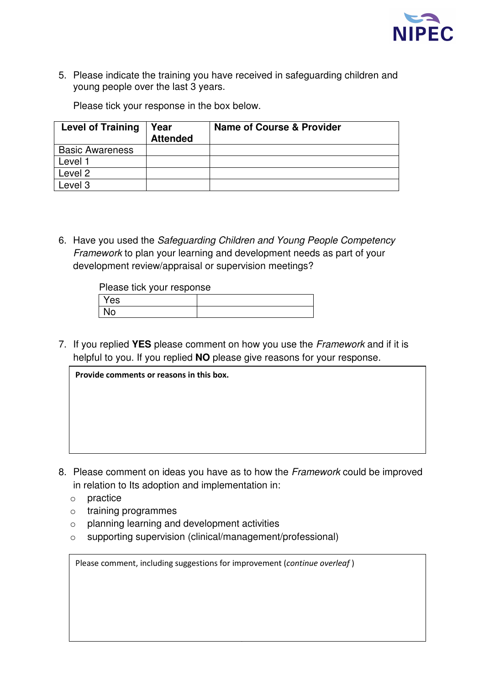

5. Please indicate the training you have received in safeguarding children and young people over the last 3 years.

Please tick your response in the box below.

| <b>Level of Training</b> | Year<br><b>Attended</b> | <b>Name of Course &amp; Provider</b> |
|--------------------------|-------------------------|--------------------------------------|
| <b>Basic Awareness</b>   |                         |                                      |
| Level 1                  |                         |                                      |
| Level 2                  |                         |                                      |
| Level 3                  |                         |                                      |

6. Have you used the Safeguarding Children and Young People Competency Framework to plan your learning and development needs as part of your development review/appraisal or supervision meetings?

Please tick your response

| Yes |  |
|-----|--|
| N٥  |  |

7. If you replied **YES** please comment on how you use the Framework and if it is helpful to you. If you replied **NO** please give reasons for your response.

| Provide comments or reasons in this box. |  |  |
|------------------------------------------|--|--|
|                                          |  |  |
|                                          |  |  |
|                                          |  |  |
|                                          |  |  |
|                                          |  |  |
|                                          |  |  |

- 8. Please comment on ideas you have as to how the Framework could be improved in relation to Its adoption and implementation in:
	- o practice
	- o training programmes
	- o planning learning and development activities
	- o supporting supervision (clinical/management/professional)

| Please comment, including suggestions for improvement (continue overleaf) |  |  |  |
|---------------------------------------------------------------------------|--|--|--|
|                                                                           |  |  |  |
|                                                                           |  |  |  |
|                                                                           |  |  |  |

3